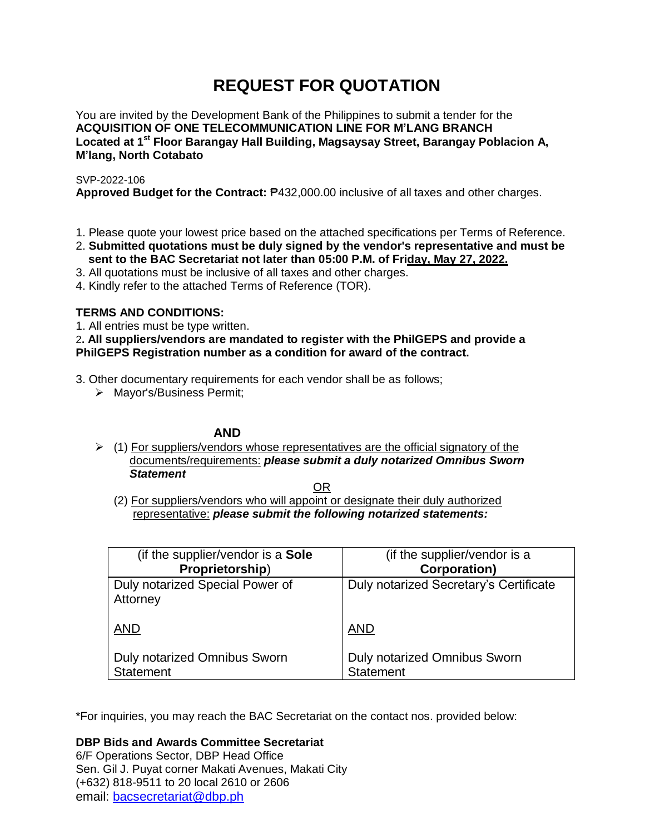# **REQUEST FOR QUOTATION**

You are invited by the Development Bank of the Philippines to submit a tender for the **ACQUISITION OF ONE TELECOMMUNICATION LINE FOR M'LANG BRANCH Located at 1 st Floor Barangay Hall Building, Magsaysay Street, Barangay Poblacion A, M'lang, North Cotabato**

SVP-2022-106

**Approved Budget for the Contract:** ₱432,000.00 inclusive of all taxes and other charges.

- 1. Please quote your lowest price based on the attached specifications per Terms of Reference.
- 2. **Submitted quotations must be duly signed by the vendor's representative and must be sent to the BAC Secretariat not later than 05:00 P.M. of Friday, May 27, 2022.**
- 3. All quotations must be inclusive of all taxes and other charges.
- 4. Kindly refer to the attached Terms of Reference (TOR).

# **TERMS AND CONDITIONS:**

1. All entries must be type written.

2**. All suppliers/vendors are mandated to register with the PhilGEPS and provide a PhilGEPS Registration number as a condition for award of the contract.**

3. Other documentary requirements for each vendor shall be as follows;

> Mayor's/Business Permit;

# **AND**

 $\geq$  (1) For suppliers/vendors whose representatives are the official signatory of the documents/requirements: *please submit a duly notarized Omnibus Sworn Statement*

<u>OR Starting and the Starting OR Starting</u>

(2) For suppliers/vendors who will appoint or designate their duly authorized representative: *please submit the following notarized statements:*

| (if the supplier/vendor is a <b>Sole</b>    | (if the supplier/vendor is a           |
|---------------------------------------------|----------------------------------------|
| Proprietorship)                             | <b>Corporation)</b>                    |
| Duly notarized Special Power of<br>Attorney | Duly notarized Secretary's Certificate |
| <b>AND</b>                                  | <b>AND</b>                             |
| Duly notarized Omnibus Sworn                | <b>Duly notarized Omnibus Sworn</b>    |
| <b>Statement</b>                            | <b>Statement</b>                       |

\*For inquiries, you may reach the BAC Secretariat on the contact nos. provided below:

**DBP Bids and Awards Committee Secretariat**  6/F Operations Sector, DBP Head Office

Sen. Gil J. Puyat corner Makati Avenues, Makati City (+632) 818-9511 to 20 local 2610 or 2606 email: [bacsecretariat@dbp.ph](mailto:bacsecretariat@dbp.ph)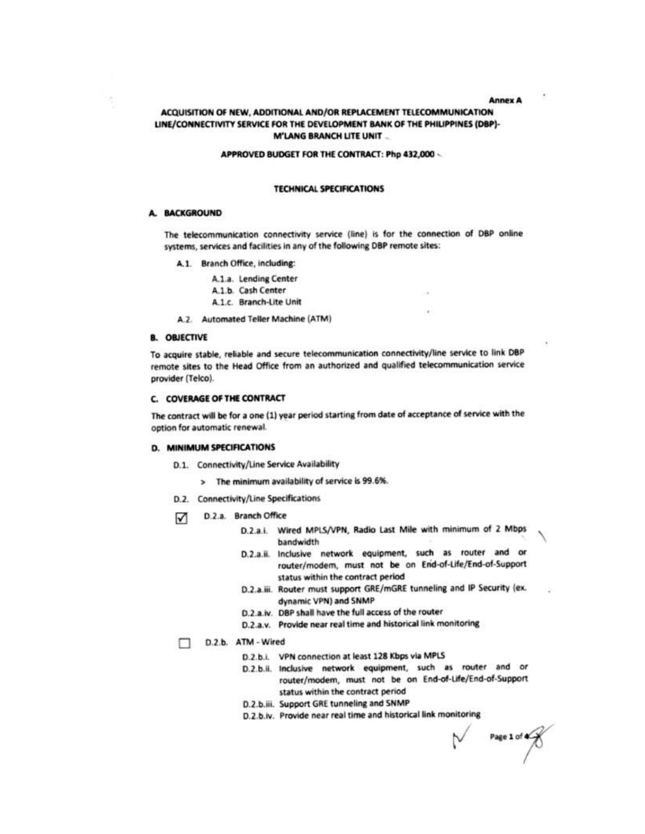**Annex A** 

# ACQUISITION OF NEW, ADDITIONAL AND/OR REPLACEMENT TELECOMMUNICATION LINE/CONNECTIVITY SERVICE FOR THE DEVELOPMENT BANK OF THE PHILIPPINES (DBP)-**M'LANG BRANCH LITE UNIT...**

#### APPROVED BUDGET FOR THE CONTRACT: Php 432,000 -

#### **TECHNICAL SPECIFICATIONS**

## A. BACKGROUND

The telecommunication connectivity service (line) is for the connection of DBP online systems, services and facilities in any of the following DBP remote sites:

- A.1. Branch Office, including:
	- A.1.a. Lending Center
	- A.1.b. Cash Center
	- A.1.c. Branch-Lite Unit
- A.2. Automated Teller Machine (ATM)

#### **B. OBJECTIVE**

To acquire stable, reliable and secure telecommunication connectivity/line service to link DBP remote sites to the Head Office from an authorized and qualified telecommunication service provider (Telco).

#### **C. COVERAGE OF THE CONTRACT**

The contract will be for a one (1) year period starting from date of acceptance of service with the option for automatic renewal.

#### D. MINIMUM SPECIFICATIONS

- D.1. Connectivity/Line Service Availability
	- > The minimum availability of service is 99.6%.
- D.2. Connectivity/Line Specifications
- D.2.a. Branch Office ☑
	- D.2.a.i. Wired MPLS/VPN, Radio Last Mile with minimum of 2 Mbps bandwidth
	- D.2.a.ii. Inclusive network equipment, such as router and or router/modem, must not be on End-of-Life/End-of-Support status within the contract period
	- D.2.a.iii. Router must support GRE/mGRE tunneling and IP Security (ex. dynamic VPN) and SNMP
	- D.2.a.iv. DBP shall have the full access of the router
	- D.2.a.v. Provide near real time and historical link monitoring

#### D.2.b. ATM - Wired

- D.2.b.i. VPN connection at least 128 Kbps via MPLS
- D.2.b.ii. Inclusive network equipment, such as router and or router/modem, must not be on End-of-Life/End-of-Support status within the contract period
- D.2.b.iii. Support GRE tunneling and SNMP
- D.2.b.iv. Provide near real time and historical link monitoring

Page 1 of  $\overline{\bigotimes}$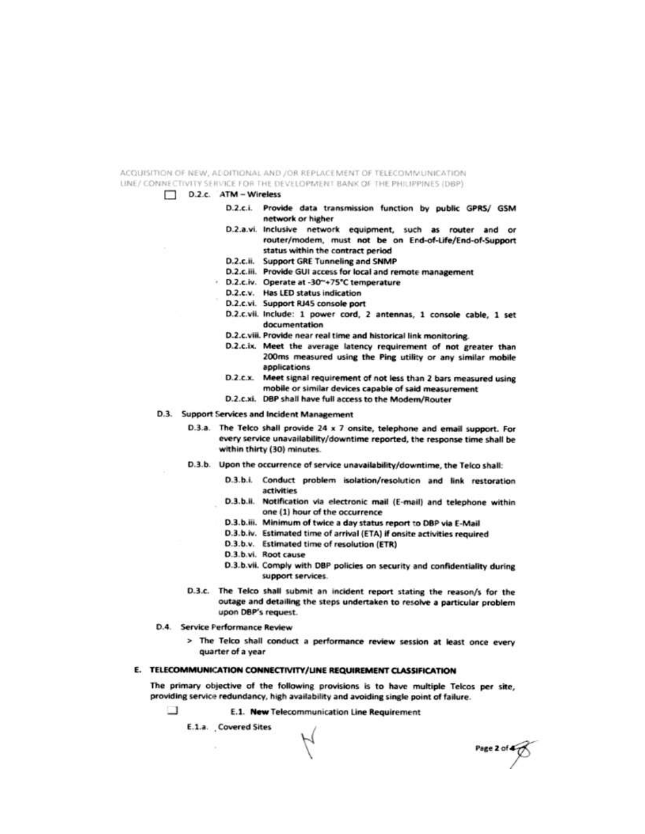ACQUISITION OF NEW, ADDITIONAL AND JOR REPLACEMENT OF TELECTMMUNICATION LINE/ CONNECTIVITY SERVICE FOR THE DEVELOPMENT BANK OF THE PHILIPPINES (DBP).

- D.2.c. ATM Wireless
	- D.2.c.i. Provide data transmission function by public GPRS/ GSM network or higher
	- D.2.a.vi. Inclusive network equipment, such as router and or router/modem, must not be on End-of-Life/End-of-Support status within the contract period
	- D.2.c.ii. Support GRE Tunneling and SNMP
	- D.2.c.iii. Provide GUI access for local and remote management
	- D.2.c.iv. Operate at -30"+75"C temperature
		- D.2.c.v. Has LED status indication
		- D.2.c.vi. Support RJ45 console port
		- D.2.c.vii. Include: 1 power cord, 2 antennas, 1 console cable, 1 set documentation
		- D.2.c.viii. Provide near real time and historical link monitoring.
		- D.2.c.ix. Meet the average latency requirement of not greater than 200ms measured using the Ping utility or any similar mobile applications
		- D.2.c.x. Meet signal requirement of not less than 2 bars measured using mobile or similar devices capable of said measurement
		- D.2.c.xi. DBP shall have full access to the Modem/Router
- D.3. Support Services and Incident Management
	- D.3.a. The Telco shall provide 24 x 7 onsite, telephone and email support. For every service unavailability/downtime reported, the response time shall be within thirty (30) minutes.
	- D.3.b. Upon the occurrence of service unavailability/downtime, the Telco shall:
		- D.3.b.i. Conduct problem isolation/resolution and link restoration artivities
		- D.3.b.ii. Notification via electronic mail (E-mail) and telephone within one (1) hour of the occurrence
		- D.3.b.iii. Minimum of twice a day status report to DBP via E-Mail
		- D.3.b.iv. Estimated time of arrival (ETA) if onsite activities required
		- D.3.b.v. Estimated time of resolution (ETR)
		- D.3.b.vi. Root cause
		- D.3.b.vii. Comply with DBP policies on security and confidentiality during support services.

Page 2 of  $\overline{\text{O}}$ 

- D.3.c. The Telco shall submit an incident report stating the reason/s for the outage and detailing the steps undertaken to resolve a particular problem upon DBP's request.
- D.4. Service Performance Review
	- > The Telco shall conduct a performance review session at least once every quarter of a year

#### E. TELECOMMUNICATION CONNECTIVITY/UNE REQUIREMENT CLASSIFICATION

The primary objective of the following provisions is to have multiple Telcos per site, providing service redundancy, high availability and avoiding single point of failure.

⊐ E.1. New Telecommunication Line Requirement

E.1.a. Covered Sites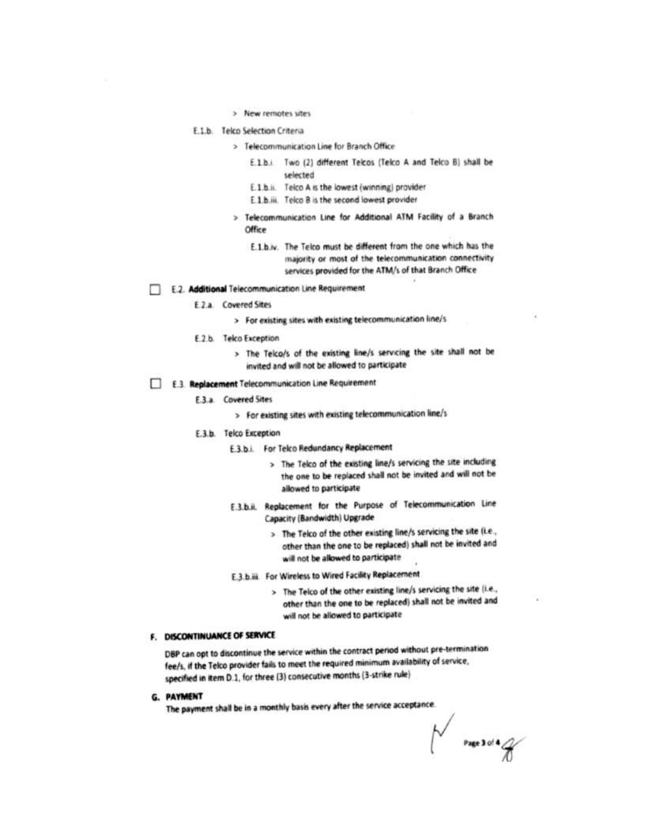- > New remotes sites
- E.1.b. Telco Selection Criteria
	- > Telecommunication Line for Branch Office
		- E.1.b.i Two (2) different Telcos (Telco A and Telco B) shall be selected
		- E.1.b.ii. Telco A is the lowest (winning) provider
		- E.1.b.iii. Telco B is the second lowest provider
	- > Telecommunication Line for Additional ATM Facility of a Branch Office
		- E.1.b.w. The Telco must be different from the one which has the majority or most of the telecommunication connectivity services provided for the ATM/s of that Branch Office
- E.2. Additional Telecommunication Line Requirement
	- E.2.a. Covered Sites
		- > For existing sites with existing telecommunication line/s
	- E.2.b. Telco Exception
		- > The Telco/s of the existing line/s servicing the site shall not be invited and will not be allowed to participate
- E.3. Replacement Telecommunication Line Requirement
	- E.3.a. Covered Sites
		- > For existing sites with existing telecommunication line/s
	- E.3.b. Telco Exception
		- E.3.b.i. For Telco Redundancy Replacement
			- > The Telco of the existing line/s servicing the site including the one to be replaced shall not be invited and will not be allowed to participate
		- E.3.b.ii. Replacement for the Purpose of Telecommunication Line Capacity (Bandwidth) Upgrade
			- > The Telco of the other existing line/s servicing the site (i.e., other than the one to be replaced) shall not be invited and will not be allowed to participate
		- E.3.b.iii. For Wireless to Wired Facility Replacement
			- > The Telco of the other existing line/s servicing the site (i.e., other than the one to be replaced) shall not be invited and will not be allowed to participate

# F. DISCONTINUANCE OF SERVICE

DBP can opt to discontinue the service within the contract period without pre-termination fee/s, if the Telco provider fails to meet the required minimum availability of service, specified in item D.1, for three (3) consecutive months (3-strike rule)

G. PAYMENT

The payment shall be in a monthly basis every after the service acceptance.

 $\bigvee$  Page 3 of 4